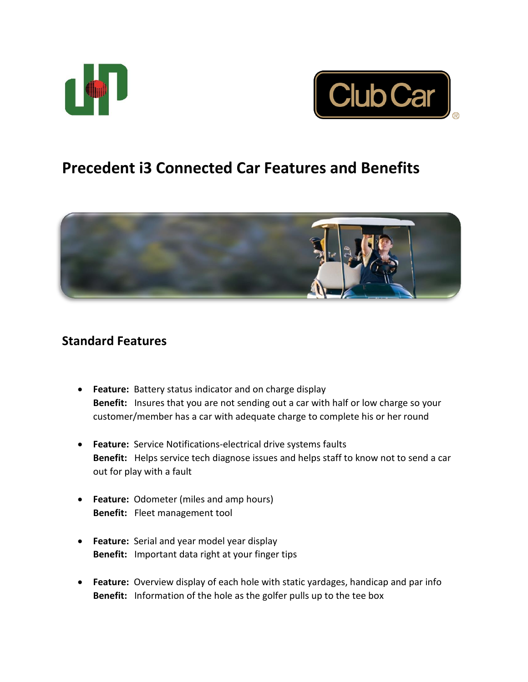



# **Precedent i3 Connected Car Features and Benefits**



## **Standard Features**

- **Feature:** Battery status indicator and on charge display **Benefit:** Insures that you are not sending out a car with half or low charge so your customer/member has a car with adequate charge to complete his or her round
- **Feature:** Service Notifications-electrical drive systems faults **Benefit:** Helps service tech diagnose issues and helps staff to know not to send a car out for play with a fault
- **Feature:** Odometer (miles and amp hours) **Benefit:** Fleet management tool
- **Feature:** Serial and year model year display **Benefit:** Important data right at your finger tips
- **Feature:** Overview display of each hole with static yardages, handicap and par info **Benefit:** Information of the hole as the golfer pulls up to the tee box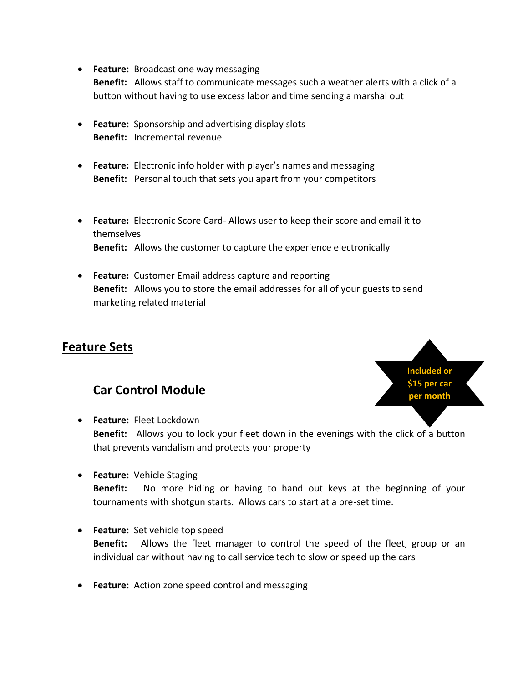- **Feature:** Broadcast one way messaging **Benefit:** Allows staff to communicate messages such a weather alerts with a click of a button without having to use excess labor and time sending a marshal out
- **Feature:** Sponsorship and advertising display slots **Benefit:** Incremental revenue
- **Feature:** Electronic info holder with player's names and messaging **Benefit:** Personal touch that sets you apart from your competitors
- **Feature:** Electronic Score Card- Allows user to keep their score and email it to themselves **Benefit:** Allows the customer to capture the experience electronically
- **Feature:** Customer Email address capture and reporting **Benefit:** Allows you to store the email addresses for all of your guests to send marketing related material

# **Feature Sets**

# **Car Control Module**



- **Feature:** Fleet Lockdown **Benefit:** Allows you to lock your fleet down in the evenings with the click of a button that prevents vandalism and protects your property
- **Feature:** Vehicle Staging **Benefit:** No more hiding or having to hand out keys at the beginning of your tournaments with shotgun starts. Allows cars to start at a pre-set time.
- **Feature:** Set vehicle top speed **Benefit:** Allows the fleet manager to control the speed of the fleet, group or an individual car without having to call service tech to slow or speed up the cars
- **Feature:** Action zone speed control and messaging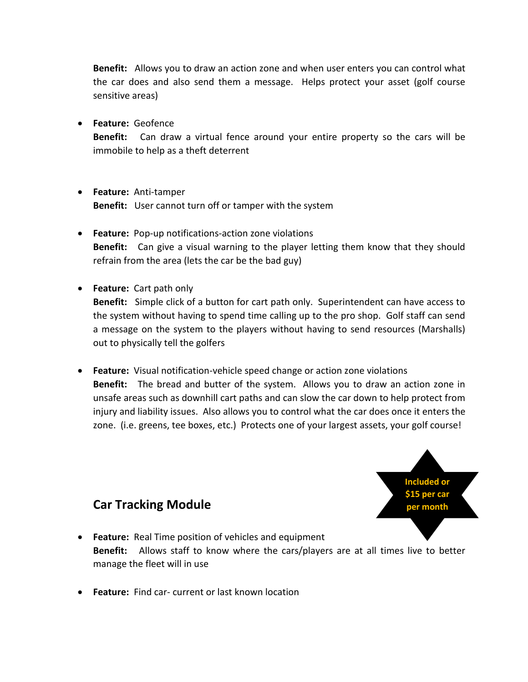**Benefit:** Allows you to draw an action zone and when user enters you can control what the car does and also send them a message. Helps protect your asset (golf course sensitive areas)

**Feature:** Geofence

**Benefit:** Can draw a virtual fence around your entire property so the cars will be immobile to help as a theft deterrent

- **Feature:** Anti-tamper **Benefit:** User cannot turn off or tamper with the system
- **Feature:** Pop-up notifications-action zone violations **Benefit:** Can give a visual warning to the player letting them know that they should refrain from the area (lets the car be the bad guy)
- **Feature:** Cart path only

**Benefit:** Simple click of a button for cart path only. Superintendent can have access to the system without having to spend time calling up to the pro shop. Golf staff can send a message on the system to the players without having to send resources (Marshalls) out to physically tell the golfers

 **Feature:** Visual notification-vehicle speed change or action zone violations **Benefit:** The bread and butter of the system. Allows you to draw an action zone in unsafe areas such as downhill cart paths and can slow the car down to help protect from injury and liability issues. Also allows you to control what the car does once it enters the zone. (i.e. greens, tee boxes, etc.) Protects one of your largest assets, your golf course!



# **Car Tracking Module**

- **Feature:** Real Time position of vehicles and equipment **Benefit:** Allows staff to know where the cars/players are at all times live to better manage the fleet will in use
- **Feature:** Find car- current or last known location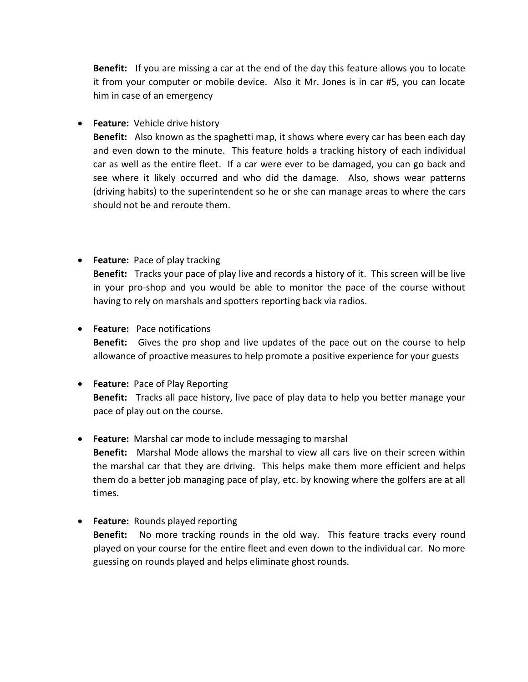**Benefit:** If you are missing a car at the end of the day this feature allows you to locate it from your computer or mobile device. Also it Mr. Jones is in car #5, you can locate him in case of an emergency

**Feature:** Vehicle drive history

**Benefit:** Also known as the spaghetti map, it shows where every car has been each day and even down to the minute. This feature holds a tracking history of each individual car as well as the entire fleet. If a car were ever to be damaged, you can go back and see where it likely occurred and who did the damage. Also, shows wear patterns (driving habits) to the superintendent so he or she can manage areas to where the cars should not be and reroute them.

### **Feature:** Pace of play tracking **Benefit:** Tracks your pace of play live and records a history of it. This screen will be live in your pro-shop and you would be able to monitor the pace of the course without having to rely on marshals and spotters reporting back via radios.

### **Feature:** Pace notifications **Benefit:** Gives the pro shop and live updates of the pace out on the course to help allowance of proactive measures to help promote a positive experience for your guests

#### **Feature:** Pace of Play Reporting **Benefit:** Tracks all pace history, live pace of play data to help you better manage your pace of play out on the course.

#### **Feature:** Marshal car mode to include messaging to marshal **Benefit:** Marshal Mode allows the marshal to view all cars live on their screen within the marshal car that they are driving. This helps make them more efficient and helps them do a better job managing pace of play, etc. by knowing where the golfers are at all times.

 **Feature:** Rounds played reporting **Benefit:** No more tracking rounds in the old way. This feature tracks every round played on your course for the entire fleet and even down to the individual car. No more guessing on rounds played and helps eliminate ghost rounds.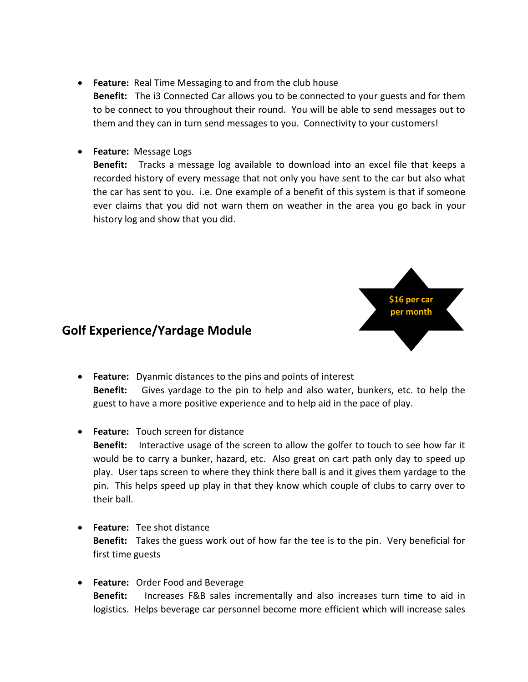- **Feature:** Real Time Messaging to and from the club house **Benefit:** The i3 Connected Car allows you to be connected to your guests and for them to be connect to you throughout their round. You will be able to send messages out to them and they can in turn send messages to you. Connectivity to your customers!
- **Feature:** Message Logs

**Benefit:** Tracks a message log available to download into an excel file that keeps a recorded history of every message that not only you have sent to the car but also what the car has sent to you. i.e. One example of a benefit of this system is that if someone ever claims that you did not warn them on weather in the area you go back in your history log and show that you did.



## **Golf Experience/Yardage Module**

- **Feature:** Dyanmic distances to the pins and points of interest **Benefit:** Gives yardage to the pin to help and also water, bunkers, etc. to help the guest to have a more positive experience and to help aid in the pace of play.
- **Feature:** Touch screen for distance **Benefit:** Interactive usage of the screen to allow the golfer to touch to see how far it would be to carry a bunker, hazard, etc. Also great on cart path only day to speed up play. User taps screen to where they think there ball is and it gives them yardage to the pin. This helps speed up play in that they know which couple of clubs to carry over to their ball.
- **Feature:** Tee shot distance **Benefit:** Takes the guess work out of how far the tee is to the pin. Very beneficial for first time guests
- **Feature:** Order Food and Beverage **Benefit:** Increases F&B sales incrementally and also increases turn time to aid in logistics. Helps beverage car personnel become more efficient which will increase sales